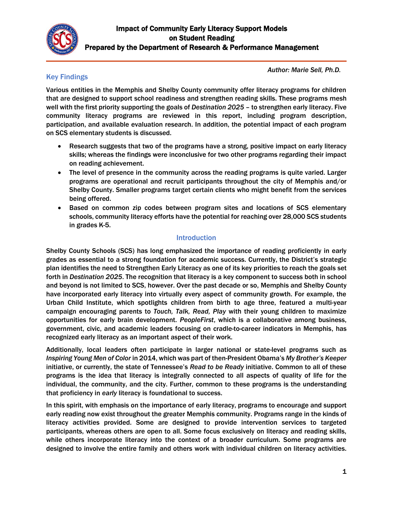

*Author: Marie Sell, Ph.D.*

### Key Findings

Various entities in the Memphis and Shelby County community offer literacy programs for children that are designed to support school readiness and strengthen reading skills. These programs mesh well with the first priority supporting the goals of *Destination 2025* – to strengthen early literacy. Five community literacy programs are reviewed in this report, including program description, participation, and available evaluation research. In addition, the potential impact of each program on SCS elementary students is discussed.

- Research suggests that two of the programs have a strong, positive impact on early literacy skills; whereas the findings were inconclusive for two other programs regarding their impact on reading achievement.
- The level of presence in the community across the reading programs is quite varied. Larger programs are operational and recruit participants throughout the city of Memphis and/or Shelby County. Smaller programs target certain clients who might benefit from the services being offered.
- Based on common zip codes between program sites and locations of SCS elementary schools, community literacy efforts have the potential for reaching over 28,000 SCS students in grades K-5.

## Introduction

Shelby County Schools (SCS) has long emphasized the importance of reading proficiently in early grades as essential to a strong foundation for academic success. Currently, the District's strategic plan identifies the need to Strengthen Early Literacy as one of its key priorities to reach the goals set forth in *Destination 2025*. The recognition that literacy is a key component to success both in school and beyond is not limited to SCS, however. Over the past decade or so, Memphis and Shelby County have incorporated early literacy into virtually every aspect of community growth. For example, the Urban Child Institute, which spotlights children from birth to age three, featured a multi-year campaign encouraging parents to *Touch, Talk, Read, Play* with their young children to maximize opportunities for early brain development. *PeopleFirst*, which is a collaborative among business, government, civic, and academic leaders focusing on cradle-to-career indicators in Memphis, has recognized early literacy as an important aspect of their work.

Additionally, local leaders often participate in larger national or state-level programs such as *Inspiring Young Men of Color* in 2014, which was part of then-President Obama's *My Brother's Keeper* initiative, or currently, the state of Tennessee's *Read to be Ready* initiative. Common to all of these programs is the idea that literacy is integrally connected to all aspects of quality of life for the individual, the community, and the city. Further, common to these programs is the understanding that proficiency in *early* literacy is foundational to success.

In this spirit, with emphasis on the importance of early literacy, programs to encourage and support early reading now exist throughout the greater Memphis community. Programs range in the kinds of literacy activities provided. Some are designed to provide intervention services to targeted participants, whereas others are open to all. Some focus exclusively on literacy and reading skills, while others incorporate literacy into the context of a broader curriculum. Some programs are designed to involve the entire family and others work with individual children on literacy activities.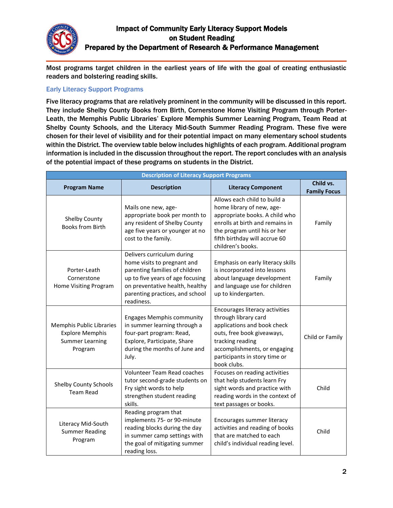

Most programs target children in the earliest years of life with the goal of creating enthusiastic readers and bolstering reading skills.

#### Early Literacy Support Programs

Five literacy programs that are relatively prominent in the community will be discussed in this report. They include Shelby County Books from Birth, Cornerstone Home Visiting Program through Porter-Leath, the Memphis Public Libraries' Explore Memphis Summer Learning Program, Team Read at Shelby County Schools, and the Literacy Mid-South Summer Reading Program. These five were chosen for their level of visibility and for their potential impact on many elementary school students within the District. The overview table below includes highlights of each program. Additional program information is included in the discussion throughout the report. The report concludes with an analysis of the potential impact of these programs on students in the District.

| <b>Description of Literacy Support Programs</b>                                                                                                                                                                                  |                                                                                                                                                                                                                     |                                                                                                                                                                                                                         |                                  |  |  |  |  |
|----------------------------------------------------------------------------------------------------------------------------------------------------------------------------------------------------------------------------------|---------------------------------------------------------------------------------------------------------------------------------------------------------------------------------------------------------------------|-------------------------------------------------------------------------------------------------------------------------------------------------------------------------------------------------------------------------|----------------------------------|--|--|--|--|
| <b>Program Name</b>                                                                                                                                                                                                              | <b>Description</b>                                                                                                                                                                                                  | <b>Literacy Component</b>                                                                                                                                                                                               | Child vs.<br><b>Family Focus</b> |  |  |  |  |
| Shelby County<br><b>Books from Birth</b>                                                                                                                                                                                         | Mails one new, age-<br>appropriate book per month to<br>any resident of Shelby County<br>age five years or younger at no<br>cost to the family.                                                                     | Allows each child to build a<br>home library of new, age-<br>appropriate books. A child who<br>enrolls at birth and remains in<br>the program until his or her<br>fifth birthday will accrue 60<br>children's books.    | Family                           |  |  |  |  |
| Porter-Leath<br>Cornerstone<br>Home Visiting Program                                                                                                                                                                             | Delivers curriculum during<br>home visits to pregnant and<br>parenting families of children<br>up to five years of age focusing<br>on preventative health, healthy<br>parenting practices, and school<br>readiness. | Emphasis on early literacy skills<br>is incorporated into lessons<br>about language development<br>and language use for children<br>up to kindergarten.                                                                 | Family                           |  |  |  |  |
| <b>Memphis Public Libraries</b><br><b>Explore Memphis</b><br><b>Summer Learning</b><br>Program                                                                                                                                   | <b>Engages Memphis community</b><br>in summer learning through a<br>four-part program: Read,<br>Explore, Participate, Share<br>during the months of June and<br>July.                                               | Encourages literacy activities<br>through library card<br>applications and book check<br>outs, free book giveaways,<br>tracking reading<br>accomplishments, or engaging<br>participants in story time or<br>book clubs. | Child or Family                  |  |  |  |  |
| <b>Shelby County Schools</b><br><b>Team Read</b>                                                                                                                                                                                 | Volunteer Team Read coaches<br>tutor second-grade students on<br>Fry sight words to help<br>strengthen student reading<br>skills.                                                                                   | Focuses on reading activities<br>that help students learn Fry<br>sight words and practice with<br>reading words in the context of<br>text passages or books.                                                            | Child                            |  |  |  |  |
| Reading program that<br>implements 75- or 90-minute<br>Literacy Mid-South<br>reading blocks during the day<br><b>Summer Reading</b><br>in summer camp settings with<br>Program<br>the goal of mitigating summer<br>reading loss. |                                                                                                                                                                                                                     | Encourages summer literacy<br>activities and reading of books<br>that are matched to each<br>child's individual reading level.                                                                                          | Child                            |  |  |  |  |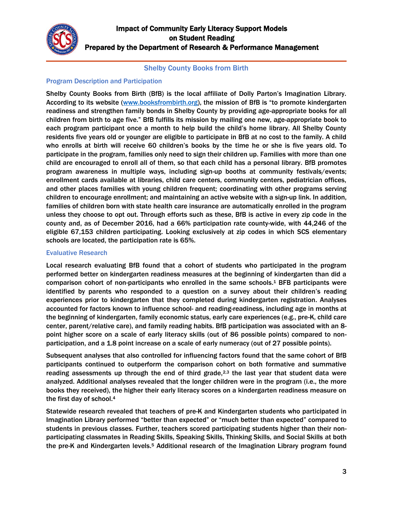

#### Shelby County Books from Birth

#### Program Description and Participation

Shelby County Books from Birth (BfB) is the local affiliate of Dolly Parton's Imagination Library. According to its website [\(www.booksfrombirth.org](http://www.booksfrombirth.org/)), the mission of BfB is "to promote kindergarten readiness and strengthen family bonds in Shelby County by providing age-appropriate books for all children from birth to age five." BfB fulfills its mission by mailing one new, age-appropriate book to each program participant once a month to help build the child's home library. All Shelby County residents five years old or younger are eligible to participate in BfB at no cost to the family. A child who enrolls at birth will receive 60 children's books by the time he or she is five years old. To participate in the program, families only need to sign their children up. Families with more than one child are encouraged to enroll all of them, so that each child has a personal library. BfB promotes program awareness in multiple ways, including sign-up booths at community festivals/events; enrollment cards available at libraries, child care centers, community centers, pediatrician offices, and other places families with young children frequent; coordinating with other programs serving children to encourage enrollment; and maintaining an active website with a sign-up link. In addition, families of children born with state health care insurance are automatically enrolled in the program unless they choose to opt out. Through efforts such as these, BfB is active in every zip code in the county and, as of December 2016, had a 66% participation rate county-wide, with 44,246 of the eligible 67,153 children participating. Looking exclusively at zip codes in which SCS elementary schools are located, the participation rate is 65%.

#### Evaluative Research

Local research evaluating BfB found that a cohort of students who participated in the program performed better on kindergarten readiness measures at the beginning of kindergarten than did a comparison cohort of non-participants who enrolled in the same schools. <sup>1</sup> BFB participants were identified by parents who responded to a question on a survey about their children's reading experiences prior to kindergarten that they completed during kindergarten registration. Analyses accounted for factors known to influence school- and reading-readiness, including age in months at the beginning of kindergarten, family economic status, early care experiences (e.g., pre-K, child care center, parent/relative care), and family reading habits. BfB participation was associated with an 8 point higher score on a scale of early literacy skills (out of 86 possible points) compared to nonparticipation, and a 1.8 point increase on a scale of early numeracy (out of 27 possible points).

Subsequent analyses that also controlled for influencing factors found that the same cohort of BfB participants continued to outperform the comparison cohort on both formative and summative reading assessments up through the end of third grade, $2,3$  the last year that student data were analyzed. Additional analyses revealed that the longer children were in the program (i.e., the more books they received), the higher their early literacy scores on a kindergarten readiness measure on the first day of school.<sup>4</sup>

Statewide research revealed that teachers of pre-K and Kindergarten students who participated in Imagination Library performed "better than expected" or "much better than expected" compared to students in previous classes. Further, teachers scored participating students higher than their nonparticipating classmates in Reading Skills, Speaking Skills, Thinking Skills, and Social Skills at both the pre-K and Kindergarten levels.<sup>5</sup> Additional research of the Imagination Library program found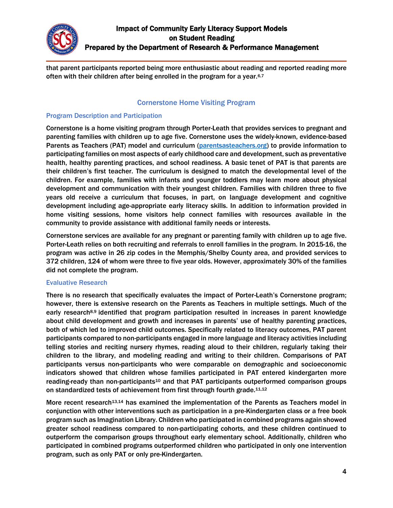

that parent participants reported being more enthusiastic about reading and reported reading more often with their children after being enrolled in the program for a year.<sup>6,7</sup>

### Cornerstone Home Visiting Program

#### Program Description and Participation

Cornerstone is a home visiting program through Porter-Leath that provides services to pregnant and parenting families with children up to age five. Cornerstone uses the widely-known, evidence-based Parents as Teachers (PAT) model and curriculum [\(parentsasteachers.org\)](http://www.parentsasteachers.org/) to provide information to participating families on most aspects of early childhood care and development, such as preventative health, healthy parenting practices, and school readiness. A basic tenet of PAT is that parents are their children's first teacher. The curriculum is designed to match the developmental level of the children. For example, families with infants and younger toddlers may learn more about physical development and communication with their youngest children. Families with children three to five years old receive a curriculum that focuses, in part, on language development and cognitive development including age-appropriate early literacy skills. In addition to information provided in home visiting sessions, home visitors help connect families with resources available in the community to provide assistance with additional family needs or interests.

Cornerstone services are available for any pregnant or parenting family with children up to age five. Porter-Leath relies on both recruiting and referrals to enroll families in the program. In 2015-16, the program was active in 26 zip codes in the Memphis/Shelby County area, and provided services to 372 children, 124 of whom were three to five year olds. However, approximately 30% of the families did not complete the program.

### Evaluative Research

There is no research that specifically evaluates the impact of Porter-Leath's Cornerstone program; however, there is extensive research on the Parents as Teachers in multiple settings. Much of the early research<sup>8,9</sup> identified that program participation resulted in increases in parent knowledge about child development and growth and increases in parents' use of healthy parenting practices, both of which led to improved child outcomes. Specifically related to literacy outcomes, PAT parent participants compared to non-participants engaged in more language and literacy activities including telling stories and reciting nursery rhymes, reading aloud to their children, regularly taking their children to the library, and modeling reading and writing to their children. Comparisons of PAT participants versus non-participants who were comparable on demographic and socioeconomic indicators showed that children whose families participated in PAT entered kindergarten more reading-ready than non-participants<sup>10</sup> and that PAT participants outperformed comparison groups on standardized tests of achievement from first through fourth grade.<sup>11,12</sup>

More recent research<sup>13,14</sup> has examined the implementation of the Parents as Teachers model in conjunction with other interventions such as participation in a pre-Kindergarten class or a free book program such as Imagination Library. Children who participated in combined programs again showed greater school readiness compared to non-participating cohorts, and these children continued to outperform the comparison groups throughout early elementary school. Additionally, children who participated in combined programs outperformed children who participated in only one intervention program, such as only PAT or only pre-Kindergarten.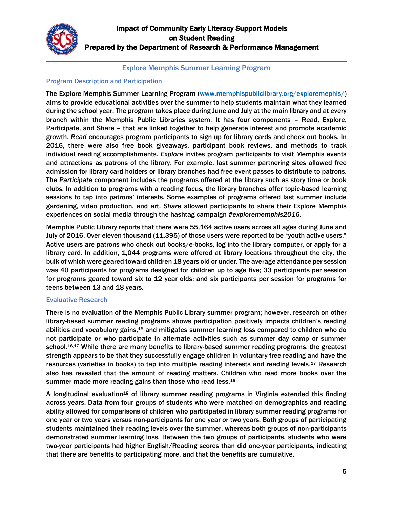

### Explore Memphis Summer Learning Program

### Program Description and Participation

The Explore Memphis Summer Learning Program [\(www.memphispubliclibrary.org/exploremephis/\)](http://www.memphispubliclibrary.org/exploremephis/) aims to provide educational activities over the summer to help students maintain what they learned during the school year. The program takes place during June and July at the main library and at every branch within the Memphis Public Libraries system. It has four components – Read, Explore, Participate, and Share – that are linked together to help generate interest and promote academic growth. *Read* encourages program participants to sign up for library cards and check out books. In 2016, there were also free book giveaways, participant book reviews, and methods to track individual reading accomplishments. *Explore* invites program participants to visit Memphis events and attractions as patrons of the library. For example, last summer partnering sites allowed free admission for library card holders or library branches had free event passes to distribute to patrons. The *Participate* component includes the programs offered at the library such as story time or book clubs. In addition to programs with a reading focus, the library branches offer topic-based learning sessions to tap into patrons' interests. Some examples of programs offered last summer include gardening, video production, and art. *Share* allowed participants to share their Explore Memphis experiences on social media through the hashtag campaign *#explorememphis2016*.

Memphis Public Library reports that there were 55,164 active users across all ages during June and July of 2016. Over eleven thousand (11,395) of those users were reported to be "youth active users." Active users are patrons who check out books/e-books, log into the library computer, or apply for a library card. In addition, 1,044 programs were offered at library locations throughout the city, the bulk of which were geared toward children 18 years old or under. The average attendance per session was 40 participants for programs designed for children up to age five; 33 participants per session for programs geared toward six to 12 year olds; and six participants per session for programs for teens between 13 and 18 years.

### Evaluative Research

There is no evaluation of the Memphis Public Library summer program; however, research on other library-based summer reading programs shows participation positively impacts children's reading abilities and vocabulary gains,<sup>15</sup> and mitigates summer learning loss compared to children who do not participate or who participate in alternate activities such as summer day camp or summer school.16,17 While there are many benefits to library-based summer reading programs, the greatest strength appears to be that they successfully engage children in voluntary free reading and have the resources (varieties in books) to tap into multiple reading interests and reading levels.<sup>17</sup> Research also has revealed that the amount of reading matters. Children who read more books over the summer made more reading gains than those who read less.<sup>15</sup>

A longitudinal evaluation<sup>18</sup> of library summer reading programs in Virginia extended this finding across years. Data from four groups of students who were matched on demographics and reading ability allowed for comparisons of children who participated in library summer reading programs for one year or two years versus non-participants for one year or two years. Both groups of participating students maintained their reading levels over the summer, whereas both groups of non-participants demonstrated summer learning loss. Between the two groups of participants, students who were two-year participants had higher English/Reading scores than did one-year participants, indicating that there are benefits to participating more, and that the benefits are cumulative.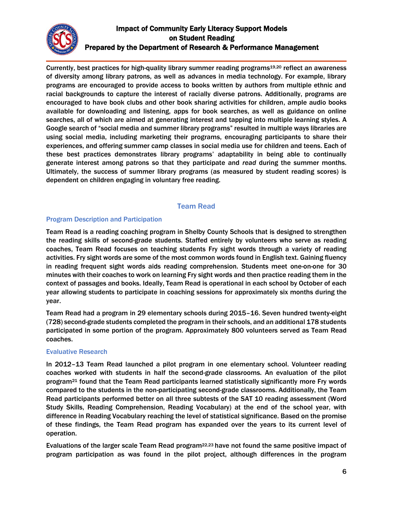

Currently, best practices for high-quality library summer reading programs<sup>19,20</sup> reflect an awareness of diversity among library patrons, as well as advances in media technology. For example, library programs are encouraged to provide access to books written by authors from multiple ethnic and racial backgrounds to capture the interest of racially diverse patrons. Additionally, programs are encouraged to have book clubs and other book sharing activities for children, ample audio books available for downloading and listening, apps for book searches, as well as guidance on online searches, all of which are aimed at generating interest and tapping into multiple learning styles. A Google search of "social media and summer library programs" resulted in multiple ways libraries are using social media, including marketing their programs, encouraging participants to share their experiences, and offering summer camp classes in social media use for children and teens. Each of these best practices demonstrates library programs' adaptability in being able to continually generate interest among patrons so that they participate and *read* during the summer months. Ultimately, the success of summer library programs (as measured by student reading scores) is dependent on children engaging in voluntary free reading.

### Team Read

#### Program Description and Participation

Team Read is a reading coaching program in Shelby County Schools that is designed to strengthen the reading skills of second-grade students. Staffed entirely by volunteers who serve as reading coaches, Team Read focuses on teaching students Fry sight words through a variety of reading activities. Fry sight words are some of the most common words found in English text. Gaining fluency in reading frequent sight words aids reading comprehension. Students meet one-on-one for 30 minutes with their coaches to work on learning Fry sight words and then practice reading them in the context of passages and books. Ideally, Team Read is operational in each school by October of each year allowing students to participate in coaching sessions for approximately six months during the year.

Team Read had a program in 29 elementary schools during 2015–16. Seven hundred twenty-eight (728) second-grade students completed the program in their schools, and an additional 178 students participated in some portion of the program. Approximately 800 volunteers served as Team Read coaches.

#### Evaluative Research

In 2012–13 Team Read launched a pilot program in one elementary school. Volunteer reading coaches worked with students in half the second-grade classrooms. An evaluation of the pilot program<sup>21</sup> found that the Team Read participants learned statistically significantly more Fry words compared to the students in the non-participating second-grade classrooms. Additionally, the Team Read participants performed better on all three subtests of the SAT 10 reading assessment (Word Study Skills, Reading Comprehension, Reading Vocabulary) at the end of the school year, with difference in Reading Vocabulary reaching the level of statistical significance. Based on the promise of these findings, the Team Read program has expanded over the years to its current level of operation.

Evaluations of the larger scale Team Read program<sup>22,23</sup> have not found the same positive impact of program participation as was found in the pilot project, although differences in the program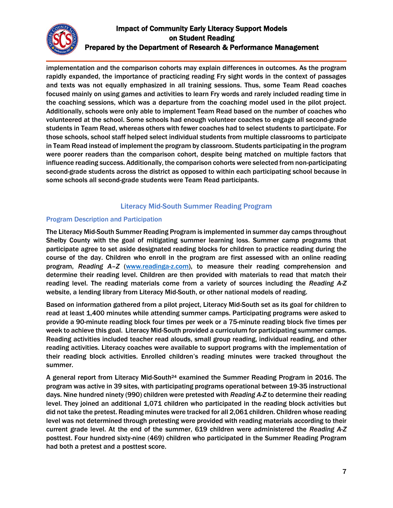

implementation and the comparison cohorts may explain differences in outcomes. As the program rapidly expanded, the importance of practicing reading Fry sight words in the context of passages and texts was not equally emphasized in all training sessions. Thus, some Team Read coaches focused mainly on using games and activities to learn Fry words and rarely included reading time in the coaching sessions, which was a departure from the coaching model used in the pilot project. Additionally, schools were only able to implement Team Read based on the number of coaches who volunteered at the school. Some schools had enough volunteer coaches to engage all second-grade students in Team Read, whereas others with fewer coaches had to select students to participate. For those schools, school staff helped select individual students from multiple classrooms to participate in Team Read instead of implement the program by classroom. Students participating in the program were poorer readers than the comparison cohort, despite being matched on multiple factors that influence reading success. Additionally, the comparison cohorts were selected from non-participating second-grade students across the district as opposed to within each participating school because in some schools all second-grade students were Team Read participants.

## Literacy Mid-South Summer Reading Program

#### Program Description and Participation

The Literacy Mid-South Summer Reading Program is implemented in summer day camps throughout Shelby County with the goal of mitigating summer learning loss. Summer camp programs that participate agree to set aside designated reading blocks for children to practice reading during the course of the day. Children who enroll in the program are first assessed with an online reading program, *Reading A–Z* [\(www.readinga-z.com\)](http://www.readinga-z.com/), to measure their reading comprehension and determine their reading level. Children are then provided with materials to read that match their reading level. The reading materials come from a variety of sources including the *Reading A-Z* website, a lending library from Literacy Mid-South, or other national models of reading.

Based on information gathered from a pilot project, Literacy Mid-South set as its goal for children to read at least 1,400 minutes while attending summer camps. Participating programs were asked to provide a 90-minute reading block four times per week or a 75-minute reading block five times per week to achieve this goal. Literacy Mid-South provided a curriculum for participating summer camps. Reading activities included teacher read alouds, small group reading, individual reading, and other reading activities. Literacy coaches were available to support programs with the implementation of their reading block activities. Enrolled children's reading minutes were tracked throughout the summer.

A general report from Literacy Mid-South<sup>24</sup> examined the Summer Reading Program in 2016. The program was active in 39 sites, with participating programs operational between 19-35 instructional days. Nine hundred ninety (990) children were pretested with *Reading A-Z* to determine their reading level. They joined an additional 1,071 children who participated in the reading block activities but did not take the pretest. Reading minutes were tracked for all 2,061 children. Children whose reading level was not determined through pretesting were provided with reading materials according to their current grade level. At the end of the summer, 619 children were administered the *Reading A-Z* posttest. Four hundred sixty-nine (469) children who participated in the Summer Reading Program had both a pretest and a posttest score.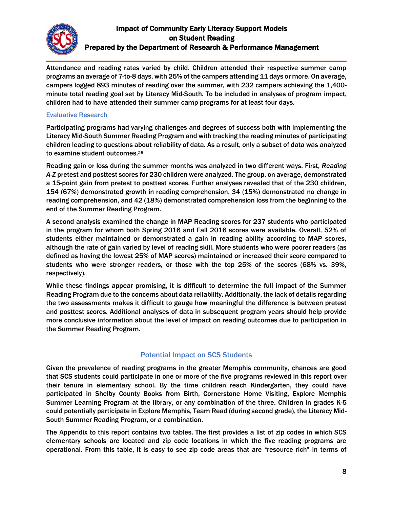

Attendance and reading rates varied by child. Children attended their respective summer camp programs an average of 7-to-8 days, with 25% of the campers attending 11 days or more. On average, campers logged 893 minutes of reading over the summer, with 232 campers achieving the 1,400 minute total reading goal set by Literacy Mid-South. To be included in analyses of program impact, children had to have attended their summer camp programs for at least four days.

#### Evaluative Research

Participating programs had varying challenges and degrees of success both with implementing the Literacy Mid-South Summer Reading Program and with tracking the reading minutes of participating children leading to questions about reliability of data. As a result, only a subset of data was analyzed to examine student outcomes.<sup>25</sup>

Reading gain or loss during the summer months was analyzed in two different ways. First, *Reading A-Z* pretest and posttest scores for 230 children were analyzed. The group, on average, demonstrated a 15-point gain from pretest to posttest scores. Further analyses revealed that of the 230 children, 154 (67%) demonstrated growth in reading comprehension, 34 (15%) demonstrated no change in reading comprehension, and 42 (18%) demonstrated comprehension loss from the beginning to the end of the Summer Reading Program.

A second analysis examined the change in MAP Reading scores for 237 students who participated in the program for whom both Spring 2016 and Fall 2016 scores were available. Overall, 52% of students either maintained or demonstrated a gain in reading ability according to MAP scores, although the rate of gain varied by level of reading skill. More students who were poorer readers (as defined as having the lowest 25% of MAP scores) maintained or increased their score compared to students who were stronger readers, or those with the top 25% of the scores (68% vs. 39%, respectively).

While these findings appear promising, it is difficult to determine the full impact of the Summer Reading Program due to the concerns about data reliability. Additionally, the lack of details regarding the two assessments makes it difficult to gauge how meaningful the difference is between pretest and posttest scores. Additional analyses of data in subsequent program years should help provide more conclusive information about the level of impact on reading outcomes due to participation in the Summer Reading Program.

## Potential Impact on SCS Students

Given the prevalence of reading programs in the greater Memphis community, chances are good that SCS students could participate in one or more of the five programs reviewed in this report over their tenure in elementary school. By the time children reach Kindergarten, they could have participated in Shelby County Books from Birth, Cornerstone Home Visiting, Explore Memphis Summer Learning Program at the library, or any combination of the three. Children in grades K-5 could potentially participate in Explore Memphis, Team Read (during second grade), the Literacy Mid-South Summer Reading Program, or a combination.

The Appendix to this report contains two tables. The first provides a list of zip codes in which SCS elementary schools are located and zip code locations in which the five reading programs are operational. From this table, it is easy to see zip code areas that are "resource rich" in terms of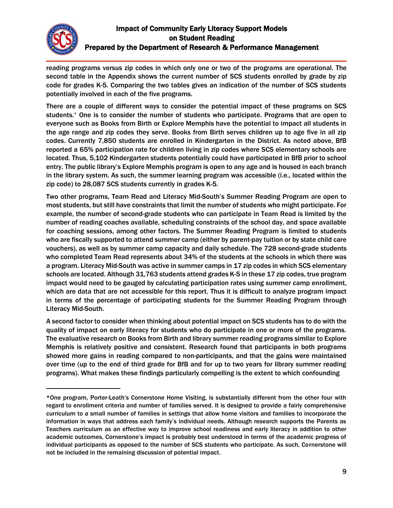

 $\overline{\phantom{a}}$  , where the contract of the contract of the contract of the contract of the contract of the contract of the contract of the contract of the contract of the contract of the contract of the contract of the contr

## Impact of Community Early Literacy Support Models on Student Reading Prepared by the Department of Research & Performance Management

reading programs versus zip codes in which only one or two of the programs are operational. The second table in the Appendix shows the current number of SCS students enrolled by grade by zip code for grades K-5. Comparing the two tables gives an indication of the number of SCS students potentially involved in each of the five programs.

There are a couple of different ways to consider the potential impact of these programs on SCS students.\* One is to consider the number of students who participate. Programs that are open to everyone such as Books from Birth or Explore Memphis have the potential to impact all students in the age range and zip codes they serve. Books from Birth serves children up to age five in all zip codes. Currently 7,850 students are enrolled in Kindergarten in the District. As noted above, BfB reported a 65% participation rate for children living in zip codes where SCS elementary schools are located. Thus, 5,102 Kindergarten students potentially could have participated in BfB prior to school entry. The public library's Explore Memphis program is open to any age and is housed in each branch in the library system. As such, the summer learning program was accessible (i.e., located within the zip code) to 28,087 SCS students currently in grades K-5.

Two other programs, Team Read and Literacy Mid-South's Summer Reading Program are open to most students, but still have constraints that limit the number of students who might participate. For example, the number of second-grade students who can participate in Team Read is limited by the number of reading coaches available, scheduling constraints of the school day, and space available for coaching sessions, among other factors. The Summer Reading Program is limited to students who are fiscally supported to attend summer camp (either by parent-pay tuition or by state child care vouchers), as well as by summer camp capacity and daily schedule. The 728 second-grade students who completed Team Read represents about 34% of the students at the schools in which there was a program. Literacy Mid-South was active in summer camps in 17 zip codes in which SCS elementary schools are located. Although 31,763 students attend grades K-5 in these 17 zip codes, true program impact would need to be gauged by calculating participation rates using summer camp enrollment, which are data that are not accessible for this report. Thus it is difficult to analyze program impact in terms of the percentage of participating students for the Summer Reading Program through Literacy Mid-South.

A second factor to consider when thinking about potential impact on SCS students has to do with the quality of impact on early literacy for students who do participate in one or more of the programs. The evaluative research on Books from Birth and library summer reading programs similar to Explore Memphis is relatively positive and consistent. Research found that participants in both programs showed more gains in reading compared to non-participants, and that the gains were maintained over time (up to the end of third grade for BfB and for up to two years for library summer reading programs). What makes these findings particularly compelling is the extent to which confounding

<sup>\*</sup>One program, Porter-Leath's Cornerstone Home Visiting, is substantially different from the other four with regard to enrollment criteria and number of families served. It is designed to provide a fairly comprehensive curriculum to a small number of families in settings that allow home visitors and families to incorporate the information in ways that address each family's individual needs. Although research supports the Parents as Teachers curriculum as an effective way to improve school readiness and early literacy in addition to other academic outcomes, Cornerstone's impact is probably best understood in terms of the academic progress of individual participants as opposed to the number of SCS students who participate. As such, Cornerstone will not be included in the remaining discussion of potential impact.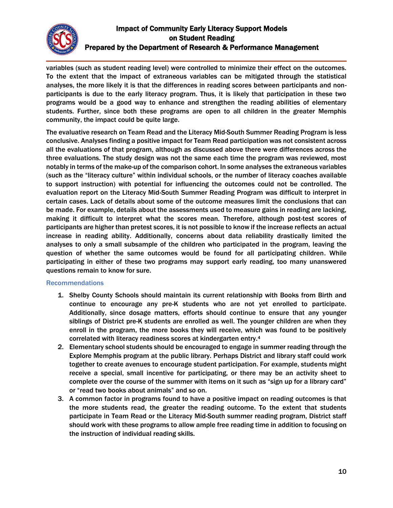

variables (such as student reading level) were controlled to minimize their effect on the outcomes. To the extent that the impact of extraneous variables can be mitigated through the statistical analyses, the more likely it is that the differences in reading scores between participants and nonparticipants is due to the early literacy program. Thus, it is likely that participation in these two programs would be a good way to enhance and strengthen the reading abilities of elementary students. Further, since both these programs are open to all children in the greater Memphis community, the impact could be quite large.

The evaluative research on Team Read and the Literacy Mid-South Summer Reading Program is less conclusive. Analyses finding a positive impact for Team Read participation was not consistent across all the evaluations of that program, although as discussed above there were differences across the three evaluations. The study design was not the same each time the program was reviewed, most notably in terms of the make-up of the comparison cohort. In some analyses the extraneous variables (such as the "literacy culture" within individual schools, or the number of literacy coaches available to support instruction) with potential for influencing the outcomes could not be controlled. The evaluation report on the Literacy Mid-South Summer Reading Program was difficult to interpret in certain cases. Lack of details about some of the outcome measures limit the conclusions that can be made. For example, details about the assessments used to measure gains in reading are lacking, making it difficult to interpret what the scores mean. Therefore, although post-test scores of participants are higher than pretest scores, it is not possible to know if the increase reflects an actual increase in reading ability. Additionally, concerns about data reliability drastically limited the analyses to only a small subsample of the children who participated in the program, leaving the question of whether the same outcomes would be found for all participating children. While participating in either of these two programs may support early reading, too many unanswered questions remain to know for sure.

### Recommendations

- 1. Shelby County Schools should maintain its current relationship with Books from Birth and continue to encourage any pre-K students who are not yet enrolled to participate. Additionally, since dosage matters, efforts should continue to ensure that any younger siblings of District pre-K students are enrolled as well. The younger children are when they enroll in the program, the more books they will receive, which was found to be positively correlated with literacy readiness scores at kindergarten entry.<sup>4</sup>
- 2. Elementary school students should be encouraged to engage in summer reading through the Explore Memphis program at the public library. Perhaps District and library staff could work together to create avenues to encourage student participation. For example, students might receive a special, small incentive for participating, or there may be an activity sheet to complete over the course of the summer with items on it such as "sign up for a library card" or "read two books about animals" and so on.
- 3. A common factor in programs found to have a positive impact on reading outcomes is that the more students read, the greater the reading outcome. To the extent that students participate in Team Read or the Literacy Mid-South summer reading program, District staff should work with these programs to allow ample free reading time in addition to focusing on the instruction of individual reading skills.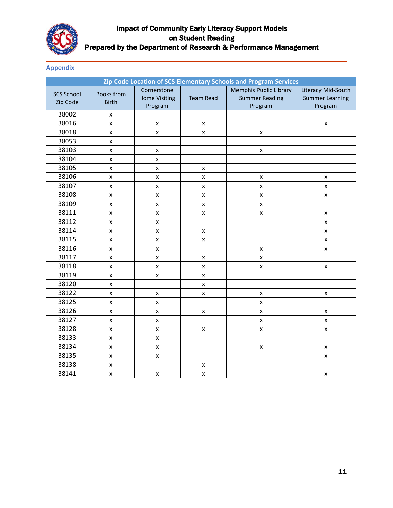

### Appendix

| Zip Code Location of SCS Elementary Schools and Program Services |                                   |                                                |                    |                                                                   |                                                         |  |  |
|------------------------------------------------------------------|-----------------------------------|------------------------------------------------|--------------------|-------------------------------------------------------------------|---------------------------------------------------------|--|--|
| <b>SCS School</b><br>Zip Code                                    | <b>Books from</b><br><b>Birth</b> | Cornerstone<br><b>Home Visiting</b><br>Program | <b>Team Read</b>   | <b>Memphis Public Library</b><br><b>Summer Reading</b><br>Program | Literacy Mid-South<br><b>Summer Learning</b><br>Program |  |  |
| 38002                                                            | $\pmb{\mathsf{x}}$                |                                                |                    |                                                                   |                                                         |  |  |
| 38016                                                            | X                                 | $\pmb{\mathsf{x}}$                             | $\pmb{\mathsf{x}}$ |                                                                   | $\pmb{\mathsf{x}}$                                      |  |  |
| 38018                                                            | $\pmb{\mathsf{x}}$                | $\pmb{\mathsf{x}}$                             | X                  | $\pmb{\mathsf{x}}$                                                |                                                         |  |  |
| 38053                                                            | $\pmb{\mathsf{X}}$                |                                                |                    |                                                                   |                                                         |  |  |
| 38103                                                            | $\pmb{\mathsf{X}}$                | $\pmb{\mathsf{x}}$                             |                    | $\pmb{\mathsf{x}}$                                                |                                                         |  |  |
| 38104                                                            | X                                 | X                                              |                    |                                                                   |                                                         |  |  |
| 38105                                                            | $\pmb{\times}$                    | $\pmb{\mathsf{X}}$                             | X                  |                                                                   |                                                         |  |  |
| 38106                                                            | X                                 | $\mathsf{x}$                                   | x                  | $\pmb{\mathsf{x}}$                                                | $\pmb{\mathsf{x}}$                                      |  |  |
| 38107                                                            | $\pmb{\mathsf{X}}$                | $\pmb{\mathsf{x}}$                             | $\pmb{\times}$     | $\pmb{\times}$                                                    | $\pmb{\times}$                                          |  |  |
| 38108                                                            | $\pmb{\mathsf{x}}$                | $\pmb{\mathsf{X}}$                             | X                  | $\pmb{\mathsf{X}}$                                                | $\pmb{\mathsf{X}}$                                      |  |  |
| 38109                                                            | $\pmb{\times}$                    | $\pmb{\mathsf{x}}$                             | $\pmb{\mathsf{X}}$ | $\pmb{\mathsf{X}}$                                                |                                                         |  |  |
| 38111                                                            | $\pmb{\mathsf{x}}$                | X                                              | X                  | X                                                                 | $\pmb{\mathsf{x}}$                                      |  |  |
| 38112                                                            | $\mathsf{x}$                      | $\pmb{\times}$                                 |                    |                                                                   | $\pmb{\mathsf{X}}$                                      |  |  |
| 38114                                                            | $\pmb{\mathsf{x}}$                | $\pmb{\mathsf{x}}$                             | $\pmb{\mathsf{X}}$ |                                                                   | $\pmb{\mathsf{X}}$                                      |  |  |
| 38115                                                            | X                                 | $\pmb{\mathsf{x}}$                             | X                  |                                                                   | $\pmb{\mathsf{X}}$                                      |  |  |
| 38116                                                            | $\pmb{\times}$                    | $\pmb{\times}$                                 |                    | $\pmb{\mathsf{x}}$                                                | $\pmb{\times}$                                          |  |  |
| 38117                                                            | $\pmb{\mathsf{x}}$                | $\pmb{\times}$                                 | X                  | $\pmb{\mathsf{X}}$                                                |                                                         |  |  |
| 38118                                                            | $\pmb{\mathsf{X}}$                | $\pmb{\times}$                                 | X                  | $\pmb{\mathsf{X}}$                                                | $\pmb{\mathsf{x}}$                                      |  |  |
| 38119                                                            | X                                 | $\pmb{\mathsf{X}}$                             | X                  |                                                                   |                                                         |  |  |
| 38120                                                            | X                                 |                                                | x                  |                                                                   |                                                         |  |  |
| 38122                                                            | $\pmb{\mathsf{x}}$                | $\pmb{\mathsf{X}}$                             | X                  | $\pmb{\mathsf{X}}$                                                | $\pmb{\mathsf{x}}$                                      |  |  |
| 38125                                                            | $\pmb{\mathsf{X}}$                | $\pmb{\mathsf{x}}$                             |                    | $\pmb{\mathsf{x}}$                                                |                                                         |  |  |
| 38126                                                            | $\pmb{\mathsf{X}}$                | $\pmb{\mathsf{x}}$                             | X                  | $\pmb{\mathsf{x}}$                                                | $\pmb{\mathsf{x}}$                                      |  |  |
| 38127                                                            | X                                 | $\pmb{\mathsf{x}}$                             |                    | X                                                                 | $\pmb{\mathsf{X}}$                                      |  |  |
| 38128                                                            | $\pmb{\mathsf{x}}$                | $\pmb{\mathsf{x}}$                             | $\pmb{\mathsf{X}}$ | $\pmb{\mathsf{x}}$                                                | $\pmb{\times}$                                          |  |  |
| 38133                                                            | $\pmb{\mathsf{x}}$                | $\pmb{\mathsf{x}}$                             |                    |                                                                   |                                                         |  |  |
| 38134                                                            | X                                 | $\pmb{\times}$                                 |                    | $\pmb{\mathsf{X}}$                                                | X                                                       |  |  |
| 38135                                                            | $\pmb{\mathsf{x}}$                | $\pmb{\mathsf{x}}$                             |                    |                                                                   | $\pmb{\mathsf{X}}$                                      |  |  |
| 38138                                                            | $\pmb{\mathsf{X}}$                |                                                | $\pmb{\mathsf{X}}$ |                                                                   |                                                         |  |  |
| 38141                                                            | $\pmb{\mathsf{x}}$                | X                                              | X                  |                                                                   | $\pmb{\mathsf{x}}$                                      |  |  |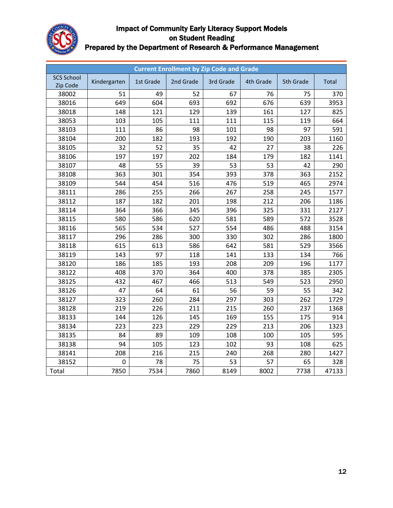

| <b>Current Enrollment by Zip Code and Grade</b> |              |           |           |           |           |           |       |  |
|-------------------------------------------------|--------------|-----------|-----------|-----------|-----------|-----------|-------|--|
| <b>SCS School</b><br>Zip Code                   | Kindergarten | 1st Grade | 2nd Grade | 3rd Grade | 4th Grade | 5th Grade | Total |  |
| 38002                                           | 51           | 49        | 52        | 67        | 76        | 75        | 370   |  |
| 38016                                           | 649          | 604       | 693       | 692       | 676       | 639       | 3953  |  |
| 38018                                           | 148          | 121       | 129       | 139       | 161       | 127       | 825   |  |
| 38053                                           | 103          | 105       | 111       | 111       | 115       | 119       | 664   |  |
| 38103                                           | 111          | 86        | 98        | 101       | 98        | 97        | 591   |  |
| 38104                                           | 200          | 182       | 193       | 192       | 190       | 203       | 1160  |  |
| 38105                                           | 32           | 52        | 35        | 42        | 27        | 38        | 226   |  |
| 38106                                           | 197          | 197       | 202       | 184       | 179       | 182       | 1141  |  |
| 38107                                           | 48           | 55        | 39        | 53        | 53        | 42        | 290   |  |
| 38108                                           | 363          | 301       | 354       | 393       | 378       | 363       | 2152  |  |
| 38109                                           | 544          | 454       | 516       | 476       | 519       | 465       | 2974  |  |
| 38111                                           | 286          | 255       | 266       | 267       | 258       | 245       | 1577  |  |
| 38112                                           | 187          | 182       | 201       | 198       | 212       | 206       | 1186  |  |
| 38114                                           | 364          | 366       | 345       | 396       | 325       | 331       | 2127  |  |
| 38115                                           | 580          | 586       | 620       | 581       | 589       | 572       | 3528  |  |
| 38116                                           | 565          | 534       | 527       | 554       | 486       | 488       | 3154  |  |
| 38117                                           | 296          | 286       | 300       | 330       | 302       | 286       | 1800  |  |
| 38118                                           | 615          | 613       | 586       | 642       | 581       | 529       | 3566  |  |
| 38119                                           | 143          | 97        | 118       | 141       | 133       | 134       | 766   |  |
| 38120                                           | 186          | 185       | 193       | 208       | 209       | 196       | 1177  |  |
| 38122                                           | 408          | 370       | 364       | 400       | 378       | 385       | 2305  |  |
| 38125                                           | 432          | 467       | 466       | 513       | 549       | 523       | 2950  |  |
| 38126                                           | 47           | 64        | 61        | 56        | 59        | 55        | 342   |  |
| 38127                                           | 323          | 260       | 284       | 297       | 303       | 262       | 1729  |  |
| 38128                                           | 219          | 226       | 211       | 215       | 260       | 237       | 1368  |  |
| 38133                                           | 144          | 126       | 145       | 169       | 155       | 175       | 914   |  |
| 38134                                           | 223          | 223       | 229       | 229       | 213       | 206       | 1323  |  |
| 38135                                           | 84           | 89        | 109       | 108       | 100       | 105       | 595   |  |
| 38138                                           | 94           | 105       | 123       | 102       | 93        | 108       | 625   |  |
| 38141                                           | 208          | 216       | 215       | 240       | 268       | 280       | 1427  |  |
| 38152                                           | 0            | 78        | 75        | 53        | 57        | 65        | 328   |  |
| Total                                           | 7850         | 7534      | 7860      | 8149      | 8002      | 7738      | 47133 |  |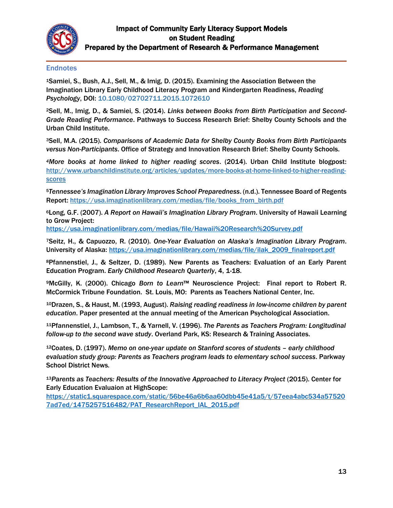

### **Endnotes**

<sup>1</sup>Samiei, S., Bush, A.J., Sell, M., & Imig, D. (2015). Examining the Association Between the Imagination Library Early Childhood Literacy Program and Kindergarten Readiness, *Reading Psychology*, DOI: 10.1080/02702711.2015.1072610

2Sell, M., Imig, D., & Samiei, S. (2014). *Links between Books from Birth Participation and Second-Grade Reading Performance*. Pathways to Success Research Brief: Shelby County Schools and the Urban Child Institute.

<sup>3</sup>Sell, M.A. (2015). *Comparisons of Academic Data for Shelby County Books from Birth Participants versus Non-Participants*. Office of Strategy and Innovation Research Brief: Shelby County Schools.

*<sup>4</sup>More books at home linked to higher reading scores*. (2014). Urban Child Institute blogpost: [http://www.urbanchildinstitute.org/articles/updates/more-books-at-home-linked-to-higher-reading](http://www.urbanchildinstitute.org/articles/updates/more-books-at-home-linked-to-higher-reading-scores)[scores](http://www.urbanchildinstitute.org/articles/updates/more-books-at-home-linked-to-higher-reading-scores)

<sup>5</sup>*Tennessee's Imagination Library Improves School Preparedness*. (n.d.). Tennessee Board of Regents Report: [https://usa.imaginationlibrary.com/medias/file/books\\_from\\_birth.pdf](https://usa.imaginationlibrary.com/medias/file/books_from_birth.pdf)

<sup>6</sup>Long, G.F. (2007). *A Report on Hawaii's Imagination Library Program*. University of Hawaii Learning to Grow Project:

<https://usa.imaginationlibrary.com/medias/file/Hawaii%20Research%20Survey.pdf>

<sup>7</sup>Seitz, H., & Capuozzo, R. (2010). *One-Year Evaluation on Alaska's Imagination Library Program*. University of Alaska: [https://usa.imaginationlibrary.com/medias/file/ilak\\_2009\\_finalreport.pdf](https://usa.imaginationlibrary.com/medias/file/ilak_2009_finalreport.pdf)

<sup>8</sup>Pfannenstiel, J., & Seltzer, D. (1989). New Parents as Teachers: Evaluation of an Early Parent Education Program. *Early Childhood Research Quarterly*, 4, 1-18.

<sup>9</sup>McGilly, K. (2000). Chicago *Born to Learn*™ Neuroscience Project: Final report to Robert R. McCormick Tribune Foundation. St. Louis, MO: Parents as Teachers National Center, Inc.

<sup>10</sup>Drazen, S., & Haust, M. (1993, August). *Raising reading readiness in low-income children by parent education*. Paper presented at the annual meeting of the American Psychological Association.

<sup>11</sup>Pfannenstiel, J., Lambson, T., & Yarnell, V. (1996). *The Parents as Teachers Program: Longitudinal follow-up to the second wave study*. Overland Park, KS: Research & Training Associates.

<sup>12</sup>Coates, D. (1997). *Memo on one-year update on Stanford scores of students – early childhood evaluation study group: Parents as Teachers program leads to elementary school success*. Parkway School District News*.*

<sup>13</sup>*Parents as Teachers: Results of the Innovative Approached to Literacy Project* (2015). Center for Early Education Evaluaion at HighScope:

[https://static1.squarespace.com/static/56be46a6b6aa60dbb45e41a5/t/57eea4abc534a57520](https://static1.squarespace.com/static/56be46a6b6aa60dbb45e41a5/t/57eea4abc534a575207ad7ed/1475257516482/PAT_ResearchReport_IAL_2015.pdf) [7ad7ed/1475257516482/PAT\\_ResearchReport\\_IAL\\_2015.pdf](https://static1.squarespace.com/static/56be46a6b6aa60dbb45e41a5/t/57eea4abc534a575207ad7ed/1475257516482/PAT_ResearchReport_IAL_2015.pdf)